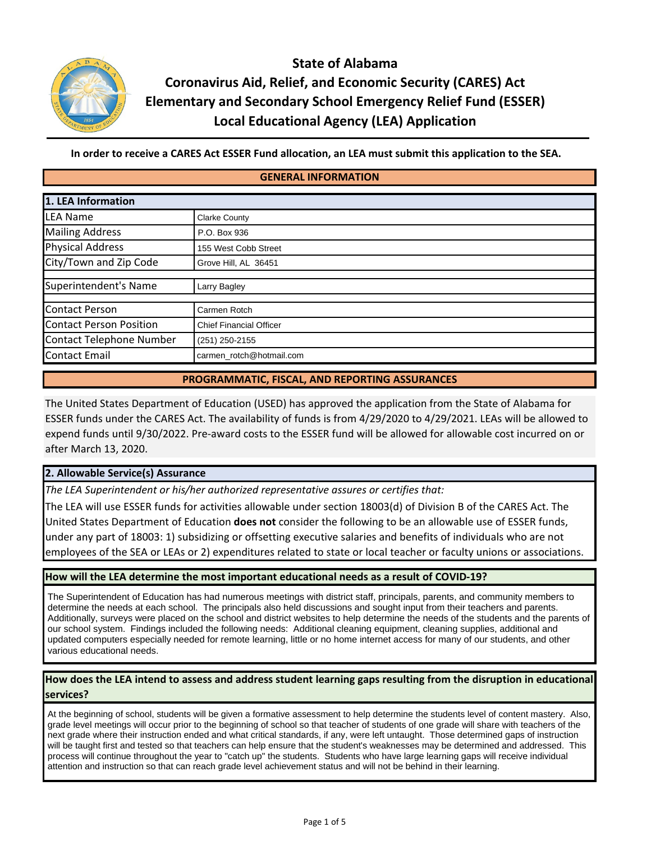

**State of Alabama Coronavirus Aid, Relief, and Economic Security (CARES) Act Elementary and Secondary School Emergency Relief Fund (ESSER) Local Educational Agency (LEA) Application**

In order to receive a CARES Act ESSER Fund allocation, an LEA must submit this application to the SEA.

#### **GENERAL INFORMATION**

| 1. LEA Information             |                                |  |  |  |  |
|--------------------------------|--------------------------------|--|--|--|--|
| <b>LEA Name</b>                | <b>Clarke County</b>           |  |  |  |  |
| <b>Mailing Address</b>         | P.O. Box 936                   |  |  |  |  |
| <b>Physical Address</b>        | 155 West Cobb Street           |  |  |  |  |
| City/Town and Zip Code         | Grove Hill, AL 36451           |  |  |  |  |
| Superintendent's Name          | Larry Bagley                   |  |  |  |  |
| Contact Person                 | Carmen Rotch                   |  |  |  |  |
| <b>Contact Person Position</b> | <b>Chief Financial Officer</b> |  |  |  |  |
| Contact Telephone Number       | (251) 250-2155                 |  |  |  |  |
| <b>Contact Email</b>           | carmen rotch@hotmail.com       |  |  |  |  |

#### **PROGRAMMATIC, FISCAL, AND REPORTING ASSURANCES**

The United States Department of Education (USED) has approved the application from the State of Alabama for ESSER funds under the CARES Act. The availability of funds is from 4/29/2020 to 4/29/2021. LEAs will be allowed to expend funds until 9/30/2022. Pre‐award costs to the ESSER fund will be allowed for allowable cost incurred on or after March 13, 2020.

#### **2. Allowable Service(s) Assurance**

*The LEA Superintendent or his/her authorized representative assures or certifies that:*

The LEA will use ESSER funds for activities allowable under section 18003(d) of Division B of the CARES Act. The United States Department of Education **does not** consider the following to be an allowable use of ESSER funds, under any part of 18003: 1) subsidizing or offsetting executive salaries and benefits of individuals who are not employees of the SEA or LEAs or 2) expenditures related to state or local teacher or faculty unions or associations.

#### **How will the LEA determine the most important educational needs as a result of COVID‐19?**

The Superintendent of Education has had numerous meetings with district staff, principals, parents, and community members to determine the needs at each school. The principals also held discussions and sought input from their teachers and parents. Additionally, surveys were placed on the school and district websites to help determine the needs of the students and the parents of our school system. Findings included the following needs: Additional cleaning equipment, cleaning supplies, additional and updated computers especially needed for remote learning, little or no home internet access for many of our students, and other various educational needs.

#### How does the LEA intend to assess and address student learning gaps resulting from the disruption in educational **services?**

At the beginning of school, students will be given a formative assessment to help determine the students level of content mastery. Also, grade level meetings will occur prior to the beginning of school so that teacher of students of one grade will share with teachers of the next grade where their instruction ended and what critical standards, if any, were left untaught. Those determined gaps of instruction will be taught first and tested so that teachers can help ensure that the student's weaknesses may be determined and addressed. This process will continue throughout the year to "catch up" the students. Students who have large learning gaps will receive individual attention and instruction so that can reach grade level achievement status and will not be behind in their learning.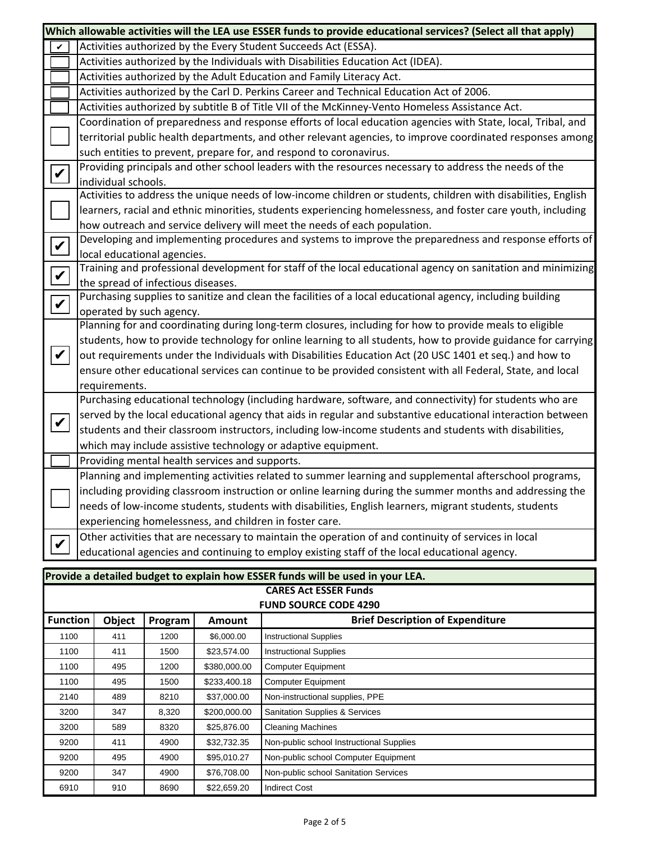| Which allowable activities will the LEA use ESSER funds to provide educational services? (Select all that apply)                                                                  |                                                                                                                   |                                                                                                                |         |               |                                                                                                            |                                           |  |  |
|-----------------------------------------------------------------------------------------------------------------------------------------------------------------------------------|-------------------------------------------------------------------------------------------------------------------|----------------------------------------------------------------------------------------------------------------|---------|---------------|------------------------------------------------------------------------------------------------------------|-------------------------------------------|--|--|
|                                                                                                                                                                                   | V                                                                                                                 | Activities authorized by the Every Student Succeeds Act (ESSA).                                                |         |               |                                                                                                            |                                           |  |  |
|                                                                                                                                                                                   |                                                                                                                   | Activities authorized by the Individuals with Disabilities Education Act (IDEA).                               |         |               |                                                                                                            |                                           |  |  |
|                                                                                                                                                                                   |                                                                                                                   | Activities authorized by the Adult Education and Family Literacy Act.                                          |         |               |                                                                                                            |                                           |  |  |
|                                                                                                                                                                                   |                                                                                                                   |                                                                                                                |         |               | Activities authorized by the Carl D. Perkins Career and Technical Education Act of 2006.                   |                                           |  |  |
| Activities authorized by subtitle B of Title VII of the McKinney-Vento Homeless Assistance Act.                                                                                   |                                                                                                                   |                                                                                                                |         |               |                                                                                                            |                                           |  |  |
|                                                                                                                                                                                   |                                                                                                                   | Coordination of preparedness and response efforts of local education agencies with State, local, Tribal, and   |         |               |                                                                                                            |                                           |  |  |
|                                                                                                                                                                                   |                                                                                                                   | territorial public health departments, and other relevant agencies, to improve coordinated responses among     |         |               |                                                                                                            |                                           |  |  |
|                                                                                                                                                                                   |                                                                                                                   | such entities to prevent, prepare for, and respond to coronavirus.                                             |         |               |                                                                                                            |                                           |  |  |
| $\boldsymbol{ \mathcal{V} }$                                                                                                                                                      |                                                                                                                   | Providing principals and other school leaders with the resources necessary to address the needs of the         |         |               |                                                                                                            |                                           |  |  |
|                                                                                                                                                                                   |                                                                                                                   | individual schools.                                                                                            |         |               |                                                                                                            |                                           |  |  |
|                                                                                                                                                                                   |                                                                                                                   | Activities to address the unique needs of low-income children or students, children with disabilities, English |         |               |                                                                                                            |                                           |  |  |
|                                                                                                                                                                                   |                                                                                                                   | learners, racial and ethnic minorities, students experiencing homelessness, and foster care youth, including   |         |               |                                                                                                            |                                           |  |  |
|                                                                                                                                                                                   |                                                                                                                   | how outreach and service delivery will meet the needs of each population.                                      |         |               |                                                                                                            |                                           |  |  |
| Developing and implementing procedures and systems to improve the preparedness and response efforts of<br>$\boldsymbol{ } \boldsymbol{\mathit{v}}$<br>local educational agencies. |                                                                                                                   |                                                                                                                |         |               |                                                                                                            |                                           |  |  |
|                                                                                                                                                                                   |                                                                                                                   |                                                                                                                |         |               |                                                                                                            | $\boldsymbol{ } \boldsymbol{\mathcal{V}}$ |  |  |
|                                                                                                                                                                                   | the spread of infectious diseases.                                                                                |                                                                                                                |         |               |                                                                                                            |                                           |  |  |
|                                                                                                                                                                                   | $\boldsymbol{v}$                                                                                                  |                                                                                                                |         |               | Purchasing supplies to sanitize and clean the facilities of a local educational agency, including building |                                           |  |  |
|                                                                                                                                                                                   |                                                                                                                   | operated by such agency.                                                                                       |         |               |                                                                                                            |                                           |  |  |
|                                                                                                                                                                                   |                                                                                                                   | Planning for and coordinating during long-term closures, including for how to provide meals to eligible        |         |               |                                                                                                            |                                           |  |  |
|                                                                                                                                                                                   |                                                                                                                   | students, how to provide technology for online learning to all students, how to provide guidance for carrying  |         |               |                                                                                                            |                                           |  |  |
|                                                                                                                                                                                   | $\boldsymbol{V}$                                                                                                  | out requirements under the Individuals with Disabilities Education Act (20 USC 1401 et seq.) and how to        |         |               |                                                                                                            |                                           |  |  |
|                                                                                                                                                                                   |                                                                                                                   | ensure other educational services can continue to be provided consistent with all Federal, State, and local    |         |               |                                                                                                            |                                           |  |  |
|                                                                                                                                                                                   |                                                                                                                   | requirements.                                                                                                  |         |               |                                                                                                            |                                           |  |  |
|                                                                                                                                                                                   |                                                                                                                   | Purchasing educational technology (including hardware, software, and connectivity) for students who are        |         |               |                                                                                                            |                                           |  |  |
| served by the local educational agency that aids in regular and substantive educational interaction between<br>$\boldsymbol{V}$                                                   |                                                                                                                   |                                                                                                                |         |               |                                                                                                            |                                           |  |  |
|                                                                                                                                                                                   |                                                                                                                   | students and their classroom instructors, including low-income students and students with disabilities,        |         |               |                                                                                                            |                                           |  |  |
| which may include assistive technology or adaptive equipment.                                                                                                                     |                                                                                                                   |                                                                                                                |         |               |                                                                                                            |                                           |  |  |
|                                                                                                                                                                                   |                                                                                                                   | Providing mental health services and supports.                                                                 |         |               |                                                                                                            |                                           |  |  |
| Planning and implementing activities related to summer learning and supplemental afterschool programs,                                                                            |                                                                                                                   |                                                                                                                |         |               |                                                                                                            |                                           |  |  |
|                                                                                                                                                                                   |                                                                                                                   | including providing classroom instruction or online learning during the summer months and addressing the       |         |               |                                                                                                            |                                           |  |  |
|                                                                                                                                                                                   |                                                                                                                   | needs of low-income students, students with disabilities, English learners, migrant students, students         |         |               |                                                                                                            |                                           |  |  |
|                                                                                                                                                                                   |                                                                                                                   | experiencing homelessness, and children in foster care.                                                        |         |               |                                                                                                            |                                           |  |  |
|                                                                                                                                                                                   | Other activities that are necessary to maintain the operation of and continuity of services in local              |                                                                                                                |         |               |                                                                                                            |                                           |  |  |
|                                                                                                                                                                                   | $\boldsymbol{v}$<br>educational agencies and continuing to employ existing staff of the local educational agency. |                                                                                                                |         |               |                                                                                                            |                                           |  |  |
|                                                                                                                                                                                   |                                                                                                                   |                                                                                                                |         |               |                                                                                                            |                                           |  |  |
|                                                                                                                                                                                   |                                                                                                                   |                                                                                                                |         |               | Provide a detailed budget to explain how ESSER funds will be used in your LEA.                             |                                           |  |  |
|                                                                                                                                                                                   |                                                                                                                   |                                                                                                                |         |               | <b>CARES Act ESSER Funds</b>                                                                               |                                           |  |  |
|                                                                                                                                                                                   |                                                                                                                   |                                                                                                                |         |               | <b>FUND SOURCE CODE 4290</b>                                                                               |                                           |  |  |
|                                                                                                                                                                                   | <b>Function</b>                                                                                                   | <b>Object</b>                                                                                                  | Program | <b>Amount</b> | <b>Brief Description of Expenditure</b>                                                                    |                                           |  |  |
| 1100                                                                                                                                                                              |                                                                                                                   | 411                                                                                                            | 1200    | \$6,000.00    | <b>Instructional Supplies</b>                                                                              |                                           |  |  |
| 1100                                                                                                                                                                              |                                                                                                                   | 411                                                                                                            | 1500    | \$23,574.00   | <b>Instructional Supplies</b>                                                                              |                                           |  |  |
| 1100                                                                                                                                                                              |                                                                                                                   | 495                                                                                                            | 1200    | \$380,000.00  | <b>Computer Equipment</b>                                                                                  |                                           |  |  |
| 1100                                                                                                                                                                              |                                                                                                                   | 495                                                                                                            | 1500    | \$233,400.18  | <b>Computer Equipment</b>                                                                                  |                                           |  |  |
| 2140                                                                                                                                                                              |                                                                                                                   | 489                                                                                                            | 8210    | \$37,000.00   | Non-instructional supplies, PPE                                                                            |                                           |  |  |
| 3200                                                                                                                                                                              |                                                                                                                   | 347                                                                                                            | 8,320   | \$200,000.00  | <b>Sanitation Supplies &amp; Services</b>                                                                  |                                           |  |  |
| 3200                                                                                                                                                                              |                                                                                                                   | 589                                                                                                            | 8320    | \$25,876.00   | <b>Cleaning Machines</b>                                                                                   |                                           |  |  |
| 9200                                                                                                                                                                              |                                                                                                                   | 411                                                                                                            | 4900    | \$32,732.35   | Non-public school Instructional Supplies                                                                   |                                           |  |  |
| 9200                                                                                                                                                                              |                                                                                                                   | 495                                                                                                            | 4900    | \$95,010.27   | Non-public school Computer Equipment                                                                       |                                           |  |  |
| 9200                                                                                                                                                                              |                                                                                                                   | 347                                                                                                            | 4900    | \$76,708.00   | Non-public school Sanitation Services                                                                      |                                           |  |  |
| 6910                                                                                                                                                                              |                                                                                                                   | 910                                                                                                            | 8690    | \$22,659.20   | <b>Indirect Cost</b>                                                                                       |                                           |  |  |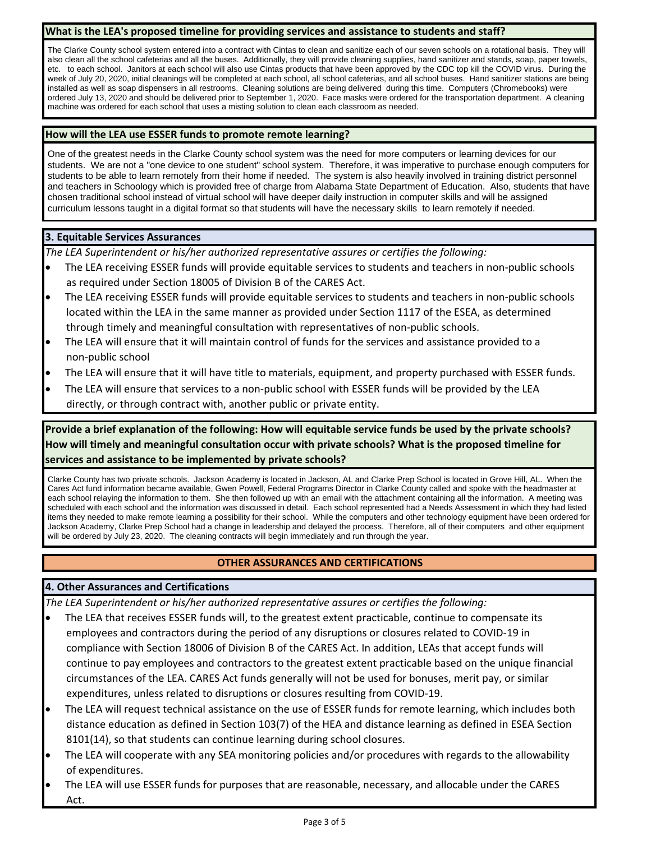#### **What is the LEA's proposed timeline for providing services and assistance to students and staff?**

The Clarke County school system entered into a contract with Cintas to clean and sanitize each of our seven schools on a rotational basis. They will also clean all the school cafeterias and all the buses. Additionally, they will provide cleaning supplies, hand sanitizer and stands, soap, paper towels, etc. to each school. Janitors at each school will also use Cintas products that have been approved by the CDC top kill the COVID virus. During the week of July 20, 2020, initial cleanings will be completed at each school, all school cafeterias, and all school buses. Hand sanitizer stations are being installed as well as soap dispensers in all restrooms. Cleaning solutions are being delivered during this time. Computers (Chromebooks) were ordered July 13, 2020 and should be delivered prior to September 1, 2020. Face masks were ordered for the transportation department. A cleaning machine was ordered for each school that uses a misting solution to clean each classroom as needed.

### **How will the LEA use ESSER funds to promote remote learning?**

One of the greatest needs in the Clarke County school system was the need for more computers or learning devices for our students. We are not a "one device to one student" school system. Therefore, it was imperative to purchase enough computers for students to be able to learn remotely from their home if needed. The system is also heavily involved in training district personnel and teachers in Schoology which is provided free of charge from Alabama State Department of Education. Also, students that have chosen traditional school instead of virtual school will have deeper daily instruction in computer skills and will be assigned curriculum lessons taught in a digital format so that students will have the necessary skills to learn remotely if needed.

### **3. Equitable Services Assurances**

*The LEA Superintendent or his/her authorized representative assures or certifies the following:*

- The LEA receiving ESSER funds will provide equitable services to students and teachers in non‐public schools as required under Section 18005 of Division B of the CARES Act.
- The LEA receiving ESSER funds will provide equitable services to students and teachers in non‐public schools located within the LEA in the same manner as provided under Section 1117 of the ESEA, as determined through timely and meaningful consultation with representatives of non‐public schools.
- The LEA will ensure that it will maintain control of funds for the services and assistance provided to a non‐public school
- The LEA will ensure that it will have title to materials, equipment, and property purchased with ESSER funds.
- The LEA will ensure that services to a non‐public school with ESSER funds will be provided by the LEA directly, or through contract with, another public or private entity.

Provide a brief explanation of the following: How will equitable service funds be used by the private schools? **How will timely and meaningful consultation occur with private schools? What is the proposed timeline for services and assistance to be implemented by private schools?**

Clarke County has two private schools. Jackson Academy is located in Jackson, AL and Clarke Prep School is located in Grove Hill, AL. When the Cares Act fund information became available, Gwen Powell, Federal Programs Director in Clarke County called and spoke with the headmaster at each school relaying the information to them. She then followed up with an email with the attachment containing all the information. A meeting was scheduled with each school and the information was discussed in detail. Each school represented had a Needs Assessment in which they had listed items they needed to make remote learning a possibility for their school. While the computers and other technology equipment have been ordered for Jackson Academy, Clarke Prep School had a change in leadership and delayed the process. Therefore, all of their computers and other equipment will be ordered by July 23, 2020. The cleaning contracts will begin immediately and run through the year.

### **OTHER ASSURANCES AND CERTIFICATIONS**

### **4. Other Assurances and Certifications**

*The LEA Superintendent or his/her authorized representative assures or certifies the following:*

- The LEA that receives ESSER funds will, to the greatest extent practicable, continue to compensate its employees and contractors during the period of any disruptions or closures related to COVID‐19 in compliance with Section 18006 of Division B of the CARES Act. In addition, LEAs that accept funds will continue to pay employees and contractors to the greatest extent practicable based on the unique financial circumstances of the LEA. CARES Act funds generally will not be used for bonuses, merit pay, or similar expenditures, unless related to disruptions or closures resulting from COVID‐19.
- The LEA will request technical assistance on the use of ESSER funds for remote learning, which includes both distance education as defined in Section 103(7) of the HEA and distance learning as defined in ESEA Section 8101(14), so that students can continue learning during school closures.
- The LEA will cooperate with any SEA monitoring policies and/or procedures with regards to the allowability of expenditures.
- The LEA will use ESSER funds for purposes that are reasonable, necessary, and allocable under the CARES Act.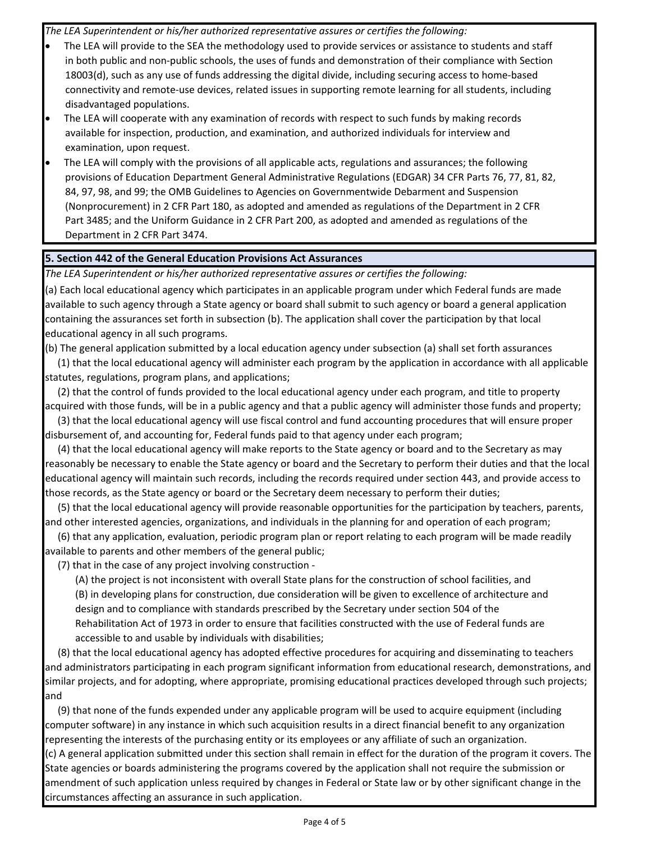*The LEA Superintendent or his/her authorized representative assures or certifies the following:*

- The LEA will provide to the SEA the methodology used to provide services or assistance to students and staff in both public and non‐public schools, the uses of funds and demonstration of their compliance with Section 18003(d), such as any use of funds addressing the digital divide, including securing access to home‐based connectivity and remote‐use devices, related issues in supporting remote learning for all students, including disadvantaged populations.
- The LEA will cooperate with any examination of records with respect to such funds by making records available for inspection, production, and examination, and authorized individuals for interview and examination, upon request.
- The LEA will comply with the provisions of all applicable acts, regulations and assurances; the following provisions of Education Department General Administrative Regulations (EDGAR) 34 CFR Parts 76, 77, 81, 82, 84, 97, 98, and 99; the OMB Guidelines to Agencies on Governmentwide Debarment and Suspension (Nonprocurement) in 2 CFR Part 180, as adopted and amended as regulations of the Department in 2 CFR Part 3485; and the Uniform Guidance in 2 CFR Part 200, as adopted and amended as regulations of the Department in 2 CFR Part 3474.

### **5. Section 442 of the General Education Provisions Act Assurances**

*The LEA Superintendent or his/her authorized representative assures or certifies the following:*

(a) Each local educational agency which participates in an applicable program under which Federal funds are made available to such agency through a State agency or board shall submit to such agency or board a general application containing the assurances set forth in subsection (b). The application shall cover the participation by that local educational agency in all such programs.

(b) The general application submitted by a local education agency under subsection (a) shall set forth assurances (1) that the local educational agency will administer each program by the application in accordance with all applicable statutes, regulations, program plans, and applications;

(2) that the control of funds provided to the local educational agency under each program, and title to property acquired with those funds, will be in a public agency and that a public agency will administer those funds and property;

(3) that the local educational agency will use fiscal control and fund accounting procedures that will ensure proper disbursement of, and accounting for, Federal funds paid to that agency under each program;

(4) that the local educational agency will make reports to the State agency or board and to the Secretary as may reasonably be necessary to enable the State agency or board and the Secretary to perform their duties and that the local educational agency will maintain such records, including the records required under section 443, and provide access to those records, as the State agency or board or the Secretary deem necessary to perform their duties;

(5) that the local educational agency will provide reasonable opportunities for the participation by teachers, parents, and other interested agencies, organizations, and individuals in the planning for and operation of each program;

(6) that any application, evaluation, periodic program plan or report relating to each program will be made readily available to parents and other members of the general public;

(7) that in the case of any project involving construction ‐

(A) the project is not inconsistent with overall State plans for the construction of school facilities, and (B) in developing plans for construction, due consideration will be given to excellence of architecture and design and to compliance with standards prescribed by the Secretary under section 504 of the Rehabilitation Act of 1973 in order to ensure that facilities constructed with the use of Federal funds are accessible to and usable by individuals with disabilities;

(8) that the local educational agency has adopted effective procedures for acquiring and disseminating to teachers and administrators participating in each program significant information from educational research, demonstrations, and similar projects, and for adopting, where appropriate, promising educational practices developed through such projects; and

(9) that none of the funds expended under any applicable program will be used to acquire equipment (including computer software) in any instance in which such acquisition results in a direct financial benefit to any organization representing the interests of the purchasing entity or its employees or any affiliate of such an organization.

(c) A general application submitted under this section shall remain in effect for the duration of the program it covers. The State agencies or boards administering the programs covered by the application shall not require the submission or amendment of such application unless required by changes in Federal or State law or by other significant change in the circumstances affecting an assurance in such application.